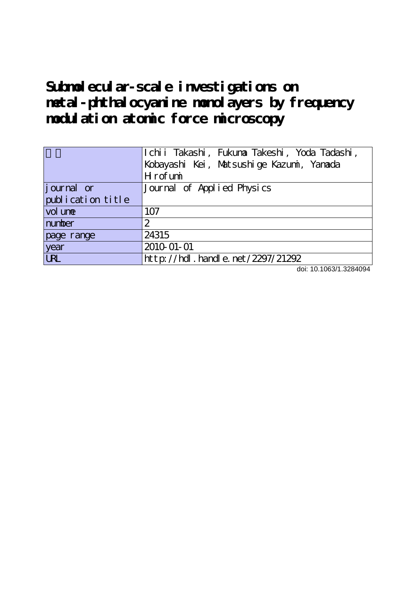# Subnolecular-scale investigations on **metal-phthalocyanine monolayers by frequency modulation atomic force microscopy**

|                   | Ichii Takashi, Fukuna Takeshi, Yoda Tadashi, |
|-------------------|----------------------------------------------|
|                   | Kobayashi Kei, Matsushige Kazumi, Yanada     |
|                   | Hrofumi                                      |
| journal or        | Journal of Applied Physics                   |
| publication title |                                              |
| vol une           | 107                                          |
| number            | 2                                            |
| page range        | 24315                                        |
| year              | 2010-01-01                                   |
| <b>LRL</b>        | $http$ ://hdl. handle. net/2297/21292        |

doi: 10.1063/1.3284094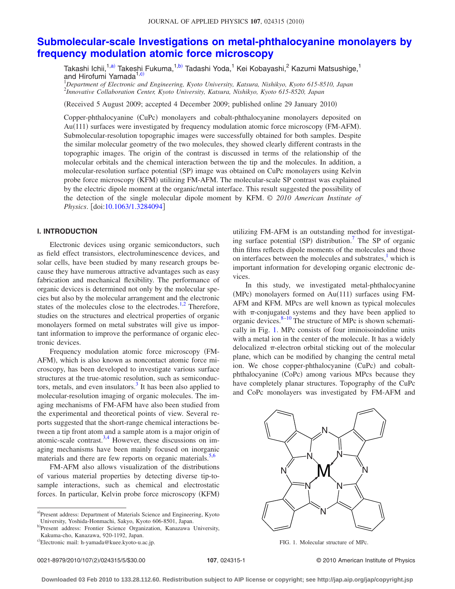# **[Submolecular-scale Investigations on metal-phthalocyanine monolayers by](http://dx.doi.org/10.1063/1.3284094) [frequency modulation atomic force microscopy](http://dx.doi.org/10.1063/1.3284094)**

Takashi Ichii,<sup>1,a)</sup> Takeshi Fukuma,<sup>1,b)</sup> Tadashi Yoda,<sup>1</sup> Kei Kobayashi,<sup>2</sup> Kazumi Matsushige,<sup>1</sup> and Hirofumi Yamada<sup>1,c)</sup>

1 *Department of Electronic and Engineering, Kyoto University, Katsura, Nishikyo, Kyoto 615-8510, Japan* 2 *Innovative Collaboration Center, Kyoto University, Katsura, Nishikyo, Kyoto 615-8520, Japan*

(Received 5 August 2009; accepted 4 December 2009; published online 29 January 2010)

Copper-phthalocyanine (CuPc) monolayers and cobalt-phthalocyanine monolayers deposited on Au(111) surfaces were investigated by frequency modulation atomic force microscopy (FM-AFM). Submolecular-resolution topographic images were successfully obtained for both samples. Despite the similar molecular geometry of the two molecules, they showed clearly different contrasts in the topographic images. The origin of the contrast is discussed in terms of the relationship of the molecular orbitals and the chemical interaction between the tip and the molecules. In addition, a molecular-resolution surface potential (SP) image was obtained on CuPc monolayers using Kelvin probe force microscopy (KFM) utilizing FM-AFM. The molecular-scale SP contrast was explained by the electric dipole moment at the organic/metal interface. This result suggested the possibility of the detection of the single molecular dipole moment by KFM. © *2010 American Institute of Physics*. [doi[:10.1063/1.3284094](http://dx.doi.org/10.1063/1.3284094)]

#### **I. INTRODUCTION**

Electronic devices using organic semiconductors, such as field effect transistors, electroluminescence devices, and solar cells, have been studied by many research groups because they have numerous attractive advantages such as easy fabrication and mechanical flexibility. The performance of organic devices is determined not only by the molecular species but also by the molecular arrangement and the electronic states of the molecules close to the electrodes. $1,2$  $1,2$  Therefore, studies on the structures and electrical properties of organic monolayers formed on metal substrates will give us important information to improve the performance of organic electronic devices.

Frequency modulation atomic force microscopy (FM-AFM), which is also known as noncontact atomic force microscopy, has been developed to investigate various surface structures at the true-atomic resolution, such as semiconductors, metals, and even insulators. $3$  It has been also applied to molecular-resolution imaging of organic molecules. The imaging mechanisms of FM-AFM have also been studied from the experimental and theoretical points of view. Several reports suggested that the short-range chemical interactions between a tip front atom and a sample atom is a major origin of atomic-scale contrast.<sup>3,[4](#page-5-3)</sup> However, these discussions on imaging mechanisms have been mainly focused on inorganic materials and there are few reports on organic materials.<sup>5[,6](#page-5-5)</sup>

FM-AFM also allows visualization of the distributions of various material properties by detecting diverse tip-tosample interactions, such as chemical and electrostatic forces. In particular, Kelvin probe force microscopy (KFM)

b)Present address: Frontier Science Organization, Kanazawa University, Kakuma-cho, Kanazawa, 920-1192, Japan.

utilizing FM-AFM is an outstanding method for investigating surface potential (SP) distribution.<sup>7</sup> The SP of organic thin films reflects dipole moments of the molecules and those on interfaces between the molecules and substrates, $\frac{1}{1}$  which is important information for developing organic electronic devices.

In this study, we investigated metal-phthalocyanine (MPc) monolayers formed on Au(111) surfaces using FM-AFM and KFM. MPcs are well known as typical molecules with  $\pi$ -conjugated systems and they have been applied to organic devices. $8-10$  The structure of MPc is shown schematically in Fig. [1.](#page-1-0) MPc consists of four iminoisoindoline units with a metal ion in the center of the molecule. It has a widely delocalized  $\pi$ -electron orbital sticking out of the molecular plane, which can be modified by changing the central metal ion. We chose copper-phthalocyanine (CuPc) and cobaltphthalocyanine (CoPc) among various MPcs because they have completely planar structures. Topography of the CuPc and CoPc monolayers was investigated by FM-AFM and

<span id="page-1-0"></span>

FIG. 1. Molecular structure of MPc.

0021-8979/2010/107(2)/024315/5/\$30.00

**107**, 024315-1 © 2010 American Institute of Physics

a)Present address: Department of Materials Science and Engineering, Kyoto University, Yoshida-Honmachi, Sakyo, Kyoto 606-8501, Japan.

c)Electronic mail: h-yamada@kuee.kyoto-u.ac.jp.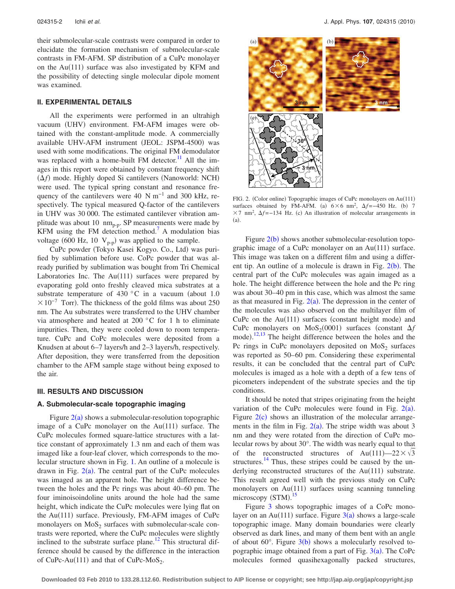their submolecular-scale contrasts were compared in order to elucidate the formation mechanism of submolecular-scale contrasts in FM-AFM. SP distribution of a CuPc monolayer on the Au $(111)$  surface was also investigated by KFM and the possibility of detecting single molecular dipole moment was examined.

## **II. EXPERIMENTAL DETAILS**

All the experiments were performed in an ultrahigh vacuum (UHV) environment. FM-AFM images were obtained with the constant-amplitude mode. A commercially available UHV-AFM instrument (JEOL: JSPM-4500) was used with some modifications. The original FM demodulator was replaced with a home-built FM detector.<sup>11</sup> All the images in this report were obtained by constant frequency shift ( $\Delta f$ ) mode. Highly doped Si cantilevers (Nanoworld: NCH) were used. The typical spring constant and resonance frequency of the cantilevers were 40 N m<sup>-1</sup> and 300 kHz, respectively. The typical measured Q-factor of the cantilevers in UHV was 30 000. The estimated cantilever vibration amplitude was about 10  $nm_{p-p}$ . SP measurements were made by KFM using the FM detection method. $'$  A modulation bias voltage (600 Hz, 10  $V_{p-p}$ ) was applied to the sample.

CuPc powder (Tokyo Kasei Kogyo. Co., Ltd) was purified by sublimation before use. CoPc powder that was already purified by sublimation was bought from Tri Chemical Laboratories Inc. The  $Au(111)$  surfaces were prepared by evaporating gold onto freshly cleaved mica substrates at a substrate temperature of 430  $^{\circ}$ C in a vacuum (about 1.0  $\times 10^{-7}$  Torr). The thickness of the gold films was about 250 nm. The Au substrates were transferred to the UHV chamber via atmosphere and heated at 200 °C for 1 h to eliminate impurities. Then, they were cooled down to room temperature. CuPc and CoPc molecules were deposited from a Knudsen at about 6–7 layers/h and 2–3 layers/h, respectively. After deposition, they were transferred from the deposition chamber to the AFM sample stage without being exposed to the air.

#### **III. RESULTS AND DISCUSSION**

### **A. Submolecular-scale topographic imaging**

Figure  $2(a)$  $2(a)$  shows a submolecular-resolution topographic image of a CuPc monolayer on the  $Au(111)$  surface. The CuPc molecules formed square-lattice structures with a lattice constant of approximately 1.3 nm and each of them was imaged like a four-leaf clover, which corresponds to the molecular structure shown in Fig. [1.](#page-1-0) An outline of a molecule is drawn in Fig.  $2(a)$  $2(a)$ . The central part of the CuPc molecules was imaged as an apparent hole. The height difference between the holes and the Pc rings was about 40–60 pm. The four iminoisoindoline units around the hole had the same height, which indicate the CuPc molecules were lying flat on the Au(111) surface. Previously, FM-AFM images of CuPc monolayers on  $MoS<sub>2</sub>$  surfaces with submolecular-scale contrasts were reported, where the CuPc molecules were slightly inclined to the substrate surface plane.<sup>12</sup> This structural difference should be caused by the difference in the interaction of CuPc-Au(111) and that of CuPc-MoS<sub>2</sub>.

<span id="page-2-0"></span>

FIG. 2. (Color online) Topographic images of CuPc monolayers on Au(111) surfaces obtained by FM-AFM. (a)  $6 \times 6$  nm<sup>2</sup>,  $\Delta f = -450$  Hz. (b) 7 ×7 nm<sup>2</sup>,  $\Delta f$  =−134 Hz. (c) An illustration of molecular arrangements in  $(a)$ .

Figure  $2(b)$  $2(b)$  shows another submolecular-resolution topographic image of a CuPc monolayer on an Au(111) surface. This image was taken on a different film and using a different tip. An outline of a molecule is drawn in Fig.  $2(b)$  $2(b)$ . The central part of the CuPc molecules was again imaged as a hole. The height difference between the hole and the Pc ring was about 30–40 pm in this case, which was almost the same as that measured in Fig.  $2(a)$  $2(a)$ . The depression in the center of the molecules was also observed on the multilayer film of CuPc on the  $Au(111)$  surfaces (constant height mode) and CuPc monolayers on MoS<sub>2</sub>(0001) surfaces (constant  $\Delta f$ mode).<sup>[12](#page-5-10)[,13](#page-5-11)</sup> The height difference between the holes and the Pc rings in CuPc monolayers deposited on  $MoS<sub>2</sub>$  surfaces was reported as 50–60 pm. Considering these experimental results, it can be concluded that the central part of CuPc molecules is imaged as a hole with a depth of a few tens of picometers independent of the substrate species and the tip conditions.

It should be noted that stripes originating from the height variation of the CuPc molecules were found in Fig.  $2(a)$  $2(a)$ . Figure  $2(c)$  $2(c)$  shows an illustration of the molecular arrangements in the film in Fig.  $2(a)$  $2(a)$ . The stripe width was about 3 nm and they were rotated from the direction of CuPc molecular rows by about 30°. The width was nearly equal to that of the reconstructed structures of Au(111)—22 $\times \sqrt{3}$ structures. $^{14}$  Thus, these stripes could be caused by the underlying reconstructed structures of the Au(111) substrate. This result agreed well with the previous study on CuPc monolayers on Au(111) surfaces using scanning tunneling microscopy (STM).<sup>[15](#page-5-13)</sup>

Figure [3](#page-3-0) shows topographic images of a CoPc monolayer on an Au(111) surface. Figure  $3(a)$  $3(a)$  shows a large-scale topographic image. Many domain boundaries were clearly observed as dark lines, and many of them bent with an angle of about 60 $\degree$ . Figure  $3(b)$  $3(b)$  shows a molecularly resolved topographic image obtained from a part of Fig.  $3(a)$  $3(a)$ . The CoPc molecules formed quasihexagonally packed structures,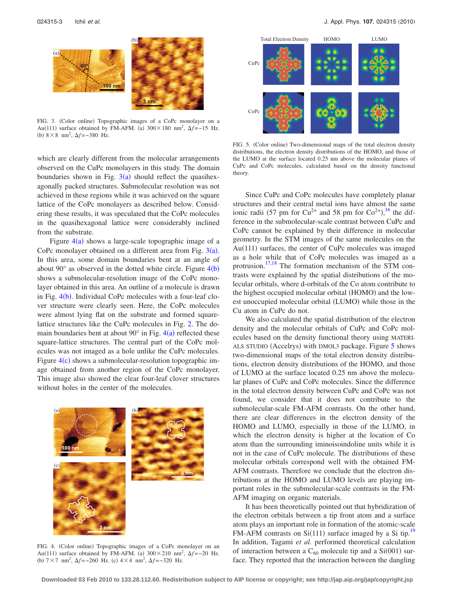<span id="page-3-0"></span>

FIG. 3. (Color online) Topographic images of a CoPc monolayer on a Au(111) surface obtained by FM-AFM. (a)  $300 \times 180$  nm<sup>2</sup>,  $\Delta f = -15$  Hz. (b)  $8 \times 8$  nm<sup>2</sup>,  $\Delta f = -380$  Hz.

which are clearly different from the molecular arrangements observed on the CuPc monolayers in this study. The domain boundaries shown in Fig.  $3(a)$  $3(a)$  should reflect the quasihexagonally packed structures. Submolecular resolution was not achieved in these regions while it was achieved on the square lattice of the CoPc monolayers as described below. Considering these results, it was speculated that the CoPc molecules in the quasihexagonal lattice were considerably inclined from the substrate.

Figure  $4(a)$  $4(a)$  shows a large-scale topographic image of a CoPc monolayer obtained on a different area from Fig.  $3(a)$  $3(a)$ . In this area, some domain boundaries bent at an angle of about 90 $^{\circ}$  as observed in the dotted white circle. Figure  $4(b)$  $4(b)$ shows a submolecular-resolution image of the CoPc monolayer obtained in this area. An outline of a molecule is drawn in Fig. [4](#page-3-1)(b). Individual CoPc molecules with a four-leaf clover structure were clearly seen. Here, the CoPc molecules were almost lying flat on the substrate and formed squarelattice structures like the CuPc molecules in Fig. [2.](#page-2-0) The domain boundaries bent at about  $90^\circ$  in Fig.  $4(a)$  $4(a)$  reflected these square-lattice structures. The central part of the CoPc molecules was not imaged as a hole unlike the CuPc molecules. Figure  $4(c)$  $4(c)$  shows a submolecular-resolution topographic image obtained from another region of the CoPc monolayer. This image also showed the clear four-leaf clover structures without holes in the center of the molecules.

<span id="page-3-1"></span>

FIG. 4. (Color online) Topographic images of a CoPc monolayer on an Au(111) surface obtained by FM-AFM. (a)  $300 \times 210$  nm<sup>2</sup>,  $\Delta f = -20$  Hz. (b)  $7 \times 7$  nm<sup>2</sup>,  $\Delta f = -260$  Hz. (c)  $4 \times 4$  nm<sup>2</sup>,  $\Delta f = -320$  Hz.

<span id="page-3-2"></span>

FIG. 5. (Color online) Two-dimensional maps of the total electron density distributions, the electron density distributions of the HOMO, and those of the LUMO at the surface located 0.25 nm above the molecular planes of CuPc and CoPc molecules, calculated based on the density functional theory.

Since CuPc and CoPc molecules have completely planar structures and their central metal ions have almost the same ionic radii (57 pm for  $Cu^{2+}$  and 58 pm for  $Co^{2+}$ ), <sup>[16](#page-5-14)</sup> the difference in the submolecular-scale contrast between CuPc and CoPc cannot be explained by their difference in molecular geometry. In the STM images of the same molecules on the Au(111) surfaces, the center of CuPc molecules was imaged as a hole while that of CoPc molecules was imaged as a protrusion.<sup>17,[18](#page-5-16)</sup> The formation mechanism of the STM contrasts were explained by the spatial distributions of the molecular orbitals, where d-orbitals of the Co atom contribute to the highest occupied molecular orbital (HOMO) and the lowest unoccupied molecular orbital (LUMO) while those in the Cu atom in CuPc do not.

We also calculated the spatial distribution of the electron density and the molecular orbitals of CuPc and CoPc molecules based on the density functional theory using MATERI-ALS STUDIO (Accelrys) with DMOL3 package. Figure [5](#page-3-2) shows two-dimensional maps of the total electron density distributions, electron density distributions of the HOMO, and those of LUMO at the surface located 0.25 nm above the molecular planes of CuPc and CoPc molecules. Since the difference in the total electron density between CuPc and CoPc was not found, we consider that it does not contribute to the submolecular-scale FM-AFM contrasts. On the other hand, there are clear differences in the electron density of the HOMO and LUMO, especially in those of the LUMO, in which the electron density is higher at the location of Co atom than the surrounding iminoisoindoline units while it is not in the case of CuPc molecule. The distributions of these molecular orbitals correspond well with the obtained FM-AFM contrasts. Therefore we conclude that the electron distributions at the HOMO and LUMO levels are playing important roles in the submolecular-scale contrasts in the FM-AFM imaging on organic materials.

It has been theoretically pointed out that hybridization of the electron orbitals between a tip front atom and a surface atom plays an important role in formation of the atomic-scale FM-AFM contrasts on Si(111) surface imaged by a Si tip.<sup>19</sup> In addition, Tagami *et al.* performed theoretical calculation of interaction between a  $C_{60}$  molecule tip and a Si $(001)$  surface. They reported that the interaction between the dangling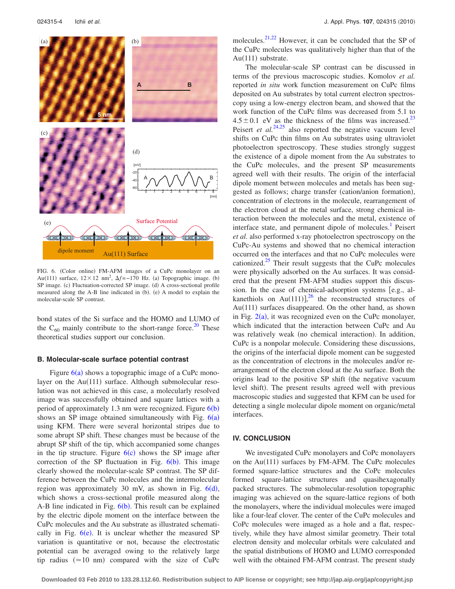<span id="page-4-0"></span>

FIG. 6. (Color online) FM-AFM images of a CuPc monolayer on an Au(111) surface,  $12 \times 12$  nm<sup>2</sup>,  $\Delta f = -170$  Hz. (a) Topographic image. (b) SP image. (c) Fluctuation-corrected SP image. (d) A cross-sectional profile measured along the A-B line indicated in (b). (e) A model to explain the molecular-scale SP contrast.

bond states of the Si surface and the HOMO and LUMO of the  $C_{60}$  mainly contribute to the short-range force.<sup>20</sup> These theoretical studies support our conclusion.

#### **B. Molecular-scale surface potential contrast**

Figure  $6(a)$  $6(a)$  shows a topographic image of a CuPc monolayer on the Au(111) surface. Although submolecular resolution was not achieved in this case, a molecularly resolved image was successfully obtained and square lattices with a period of approximately 1.3 nm were recognized. Figure  $6(b)$  $6(b)$ shows an SP image obtained simultaneously with Fig.  $6(a)$  $6(a)$ using KFM. There were several horizontal stripes due to some abrupt SP shift. These changes must be because of the abrupt SP shift of the tip, which accompanied some changes in the tip structure. Figure  $6(c)$  $6(c)$  shows the SP image after correction of the SP fluctuation in Fig.  $6(b)$  $6(b)$ . This image clearly showed the molecular-scale SP contrast. The SP difference between the CuPc molecules and the intermolecular region was approximately 30 mV, as shown in Fig.  $6(d)$  $6(d)$ , which shows a cross-sectional profile measured along the A-B line indicated in Fig.  $6(b)$  $6(b)$ . This result can be explained by the electric dipole moment on the interface between the CuPc molecules and the Au substrate as illustrated schematically in Fig.  $6(e)$  $6(e)$ . It is unclear whether the measured SP variation is quantitative or not, because the electrostatic potential can be averaged owing to the relatively large tip radius  $(\simeq 10 \text{ nm})$  compared with the size of CuPc

molecules.<sup>21[,22](#page-5-20)</sup> However, it can be concluded that the SP of the CuPc molecules was qualitatively higher than that of the Au(111) substrate.

The molecular-scale SP contrast can be discussed in terms of the previous macroscopic studies. Komolov *et al.* reported *in situ* work function measurement on CuPc films deposited on Au substrates by total current electron spectroscopy using a low-energy electron beam, and showed that the work function of the CuPc films was decreased from 5.1 to  $4.5\pm0.1$  eV as the thickness of the films was increased.<sup>23</sup> Peisert *et al.*<sup>[24,](#page-5-22)[25](#page-5-23)</sup> also reported the negative vacuum level shifts on CuPc thin films on Au substrates using ultraviolet photoelectron spectroscopy. These studies strongly suggest the existence of a dipole moment from the Au substrates to the CuPc molecules, and the present SP measurements agreed well with their results. The origin of the interfacial dipole moment between molecules and metals has been suggested as follows; charge transfer (cation/anion formation), concentration of electrons in the molecule, rearrangement of the electron cloud at the metal surface, strong chemical interaction between the molecules and the metal, existence of interface state, and permanent dipole of molecules.<sup>1</sup> Peisert *et al.* also performed x-ray photoelectron spectroscopy on the CuPc-Au systems and showed that no chemical interaction occurred on the interfaces and that no CuPc molecules were cationized. $25$  Their result suggests that the CuPc molecules were physically adsorbed on the Au surfaces. It was considered that the present FM-AFM studies support this discussion. In the case of chemical-adsorption systems  $[e.g.,$  al-kanethiols on Au(111)],<sup>[26](#page-5-24)</sup> the reconstructed structures of Au(111) surfaces disappeared. On the other hand, as shown in Fig.  $2(a)$  $2(a)$ , it was recognized even on the CuPc monolayer, which indicated that the interaction between CuPc and Au was relatively weak (no chemical interaction). In addition, CuPc is a nonpolar molecule. Considering these discussions, the origins of the interfacial dipole moment can be suggested as the concentration of electrons in the molecules and/or rearrangement of the electron cloud at the Au surface. Both the origins lead to the positive SP shift (the negative vacuum level shift). The present results agreed well with previous macroscopic studies and suggested that KFM can be used for detecting a single molecular dipole moment on organic/metal interfaces.

# **IV. CONCLUSION**

We investigated CuPc monolayers and CoPc monolayers on the Au(111) surfaces by FM-AFM. The CuPc molecules formed square-lattice structures and the CoPc molecules formed square-lattice structures and quasihexagonally packed structures. The submolecular-resolution topographic imaging was achieved on the square-lattice regions of both the monolayers, where the individual molecules were imaged like a four-leaf clover. The center of the CuPc molecules and CoPc molecules were imaged as a hole and a flat, respectively, while they have almost similar geometry. Their total electron density and molecular orbitals were calculated and the spatial distributions of HOMO and LUMO corresponded well with the obtained FM-AFM contrast. The present study